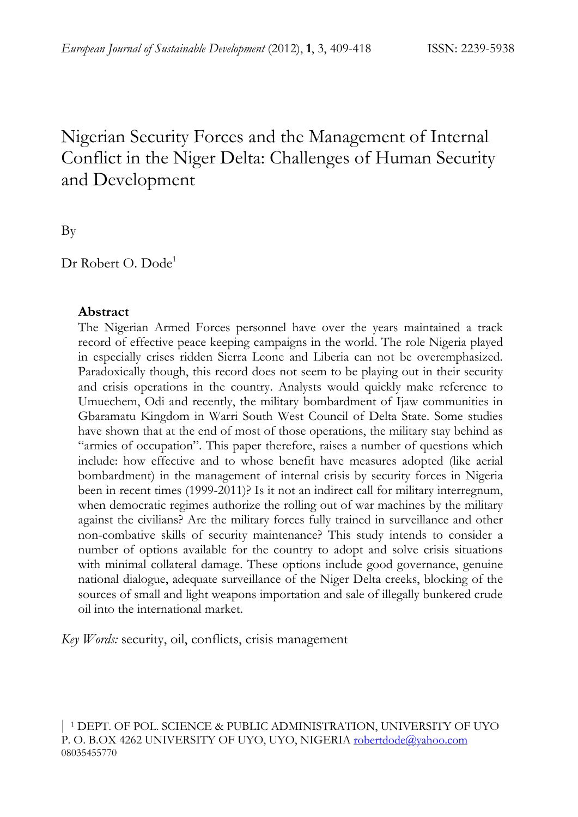# Nigerian Security Forces and the Management of Internal Conflict in the Niger Delta: Challenges of Human Security and Development

By

Dr Robert O. Dode<sup>1</sup>

#### **Abstract**

The Nigerian Armed Forces personnel have over the years maintained a track record of effective peace keeping campaigns in the world. The role Nigeria played in especially crises ridden Sierra Leone and Liberia can not be overemphasized. Paradoxically though, this record does not seem to be playing out in their security and crisis operations in the country. Analysts would quickly make reference to Umuechem, Odi and recently, the military bombardment of Ijaw communities in Gbaramatu Kingdom in Warri South West Council of Delta State. Some studies have shown that at the end of most of those operations, the military stay behind as "armies of occupation". This paper therefore, raises a number of questions which include: how effective and to whose benefit have measures adopted (like aerial bombardment) in the management of internal crisis by security forces in Nigeria been in recent times (1999-2011)? Is it not an indirect call for military interregnum, when democratic regimes authorize the rolling out of war machines by the military against the civilians? Are the military forces fully trained in surveillance and other non-combative skills of security maintenance? This study intends to consider a number of options available for the country to adopt and solve crisis situations with minimal collateral damage. These options include good governance, genuine national dialogue, adequate surveillance of the Niger Delta creeks, blocking of the sources of small and light weapons importation and sale of illegally bunkered crude oil into the international market.

*Key Words:* security, oil, conflicts, crisis management

| 1 DEPT. OF POL. SCIENCE & PUBLIC ADMINISTRATION, UNIVERSITY OF UYO P. O. B.OX 4262 UNIVERSITY OF UYO, UYO, NIGERIA robertdode@yahoo.com 08035455770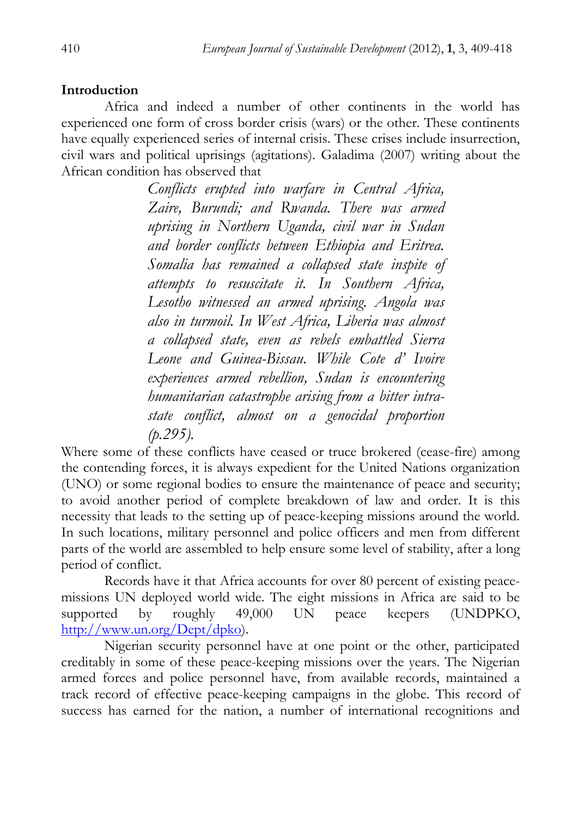# **Introduction**

Africa and indeed a number of other continents in the world has experienced one form of cross border crisis (wars) or the other. These continents have equally experienced series of internal crisis. These crises include insurrection, civil wars and political uprisings (agitations). Galadima (2007) writing about the African condition has observed that

> *Conflicts erupted into warfare in Central Africa, Zaire, Burundi; and Rwanda. There was armed uprising in Northern Uganda, civil war in Sudan and border conflicts between Ethiopia and Eritrea. Somalia has remained a collapsed state inspite of attempts to resuscitate it. In Southern Africa, Lesotho witnessed an armed uprising. Angola was also in turmoil. In West Africa, Liberia was almost a collapsed state, even as rebels embattled Sierra Leone and Guinea-Bissau. While Cote d' Ivoire experiences armed rebellion, Sudan is encountering humanitarian catastrophe arising from a bitter intrastate conflict, almost on a genocidal proportion (p.295).*

Where some of these conflicts have ceased or truce brokered (cease-fire) among the contending forces, it is always expedient for the United Nations organization (UNO) or some regional bodies to ensure the maintenance of peace and security; to avoid another period of complete breakdown of law and order. It is this necessity that leads to the setting up of peace-keeping missions around the world. In such locations, military personnel and police officers and men from different parts of the world are assembled to help ensure some level of stability, after a long period of conflict.

 Records have it that Africa accounts for over 80 percent of existing peacemissions UN deployed world wide. The eight missions in Africa are said to be supported by roughly 49,000 UN peace keepers (UNDPKO, http://www.un.org/Dept/dpko).

 Nigerian security personnel have at one point or the other, participated creditably in some of these peace-keeping missions over the years. The Nigerian armed forces and police personnel have, from available records, maintained a track record of effective peace-keeping campaigns in the globe. This record of success has earned for the nation, a number of international recognitions and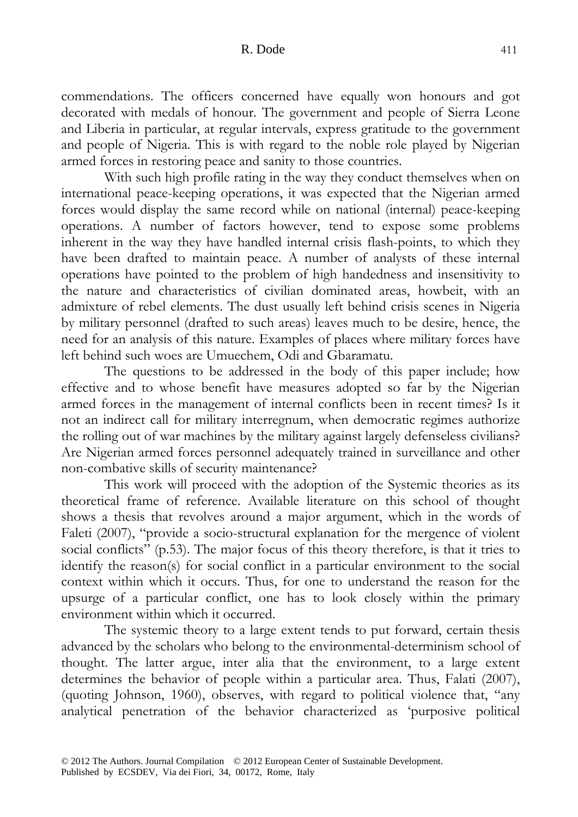commendations. The officers concerned have equally won honours and got decorated with medals of honour. The government and people of Sierra Leone and Liberia in particular, at regular intervals, express gratitude to the government and people of Nigeria. This is with regard to the noble role played by Nigerian armed forces in restoring peace and sanity to those countries.

 With such high profile rating in the way they conduct themselves when on international peace-keeping operations, it was expected that the Nigerian armed forces would display the same record while on national (internal) peace-keeping operations. A number of factors however, tend to expose some problems inherent in the way they have handled internal crisis flash-points, to which they have been drafted to maintain peace. A number of analysts of these internal operations have pointed to the problem of high handedness and insensitivity to the nature and characteristics of civilian dominated areas, howbeit, with an admixture of rebel elements. The dust usually left behind crisis scenes in Nigeria by military personnel (drafted to such areas) leaves much to be desire, hence, the need for an analysis of this nature. Examples of places where military forces have left behind such woes are Umuechem, Odi and Gbaramatu.

 The questions to be addressed in the body of this paper include; how effective and to whose benefit have measures adopted so far by the Nigerian armed forces in the management of internal conflicts been in recent times? Is it not an indirect call for military interregnum, when democratic regimes authorize the rolling out of war machines by the military against largely defenseless civilians? Are Nigerian armed forces personnel adequately trained in surveillance and other non-combative skills of security maintenance?

 This work will proceed with the adoption of the Systemic theories as its theoretical frame of reference. Available literature on this school of thought shows a thesis that revolves around a major argument, which in the words of Faleti (2007), "provide a socio-structural explanation for the mergence of violent social conflicts" (p.53). The major focus of this theory therefore, is that it tries to identify the reason(s) for social conflict in a particular environment to the social context within which it occurs. Thus, for one to understand the reason for the upsurge of a particular conflict, one has to look closely within the primary environment within which it occurred.

 The systemic theory to a large extent tends to put forward, certain thesis advanced by the scholars who belong to the environmental-determinism school of thought. The latter argue, inter alia that the environment, to a large extent determines the behavior of people within a particular area. Thus, Falati (2007), (quoting Johnson, 1960), observes, with regard to political violence that, "any analytical penetration of the behavior characterized as 'purposive political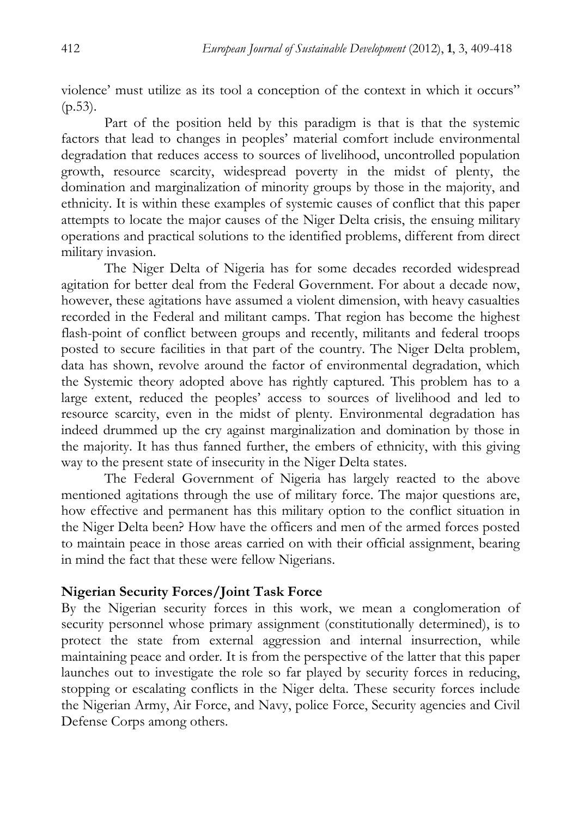violence' must utilize as its tool a conception of the context in which it occurs"  $(p.53)$ .

 Part of the position held by this paradigm is that is that the systemic factors that lead to changes in peoples' material comfort include environmental degradation that reduces access to sources of livelihood, uncontrolled population growth, resource scarcity, widespread poverty in the midst of plenty, the domination and marginalization of minority groups by those in the majority, and ethnicity. It is within these examples of systemic causes of conflict that this paper attempts to locate the major causes of the Niger Delta crisis, the ensuing military operations and practical solutions to the identified problems, different from direct military invasion.

 The Niger Delta of Nigeria has for some decades recorded widespread agitation for better deal from the Federal Government. For about a decade now, however, these agitations have assumed a violent dimension, with heavy casualties recorded in the Federal and militant camps. That region has become the highest flash-point of conflict between groups and recently, militants and federal troops posted to secure facilities in that part of the country. The Niger Delta problem, data has shown, revolve around the factor of environmental degradation, which the Systemic theory adopted above has rightly captured. This problem has to a large extent, reduced the peoples' access to sources of livelihood and led to resource scarcity, even in the midst of plenty. Environmental degradation has indeed drummed up the cry against marginalization and domination by those in the majority. It has thus fanned further, the embers of ethnicity, with this giving way to the present state of insecurity in the Niger Delta states.

 The Federal Government of Nigeria has largely reacted to the above mentioned agitations through the use of military force. The major questions are, how effective and permanent has this military option to the conflict situation in the Niger Delta been? How have the officers and men of the armed forces posted to maintain peace in those areas carried on with their official assignment, bearing in mind the fact that these were fellow Nigerians.

### **Nigerian Security Forces/Joint Task Force**

By the Nigerian security forces in this work, we mean a conglomeration of security personnel whose primary assignment (constitutionally determined), is to protect the state from external aggression and internal insurrection, while maintaining peace and order. It is from the perspective of the latter that this paper launches out to investigate the role so far played by security forces in reducing, stopping or escalating conflicts in the Niger delta. These security forces include the Nigerian Army, Air Force, and Navy, police Force, Security agencies and Civil Defense Corps among others.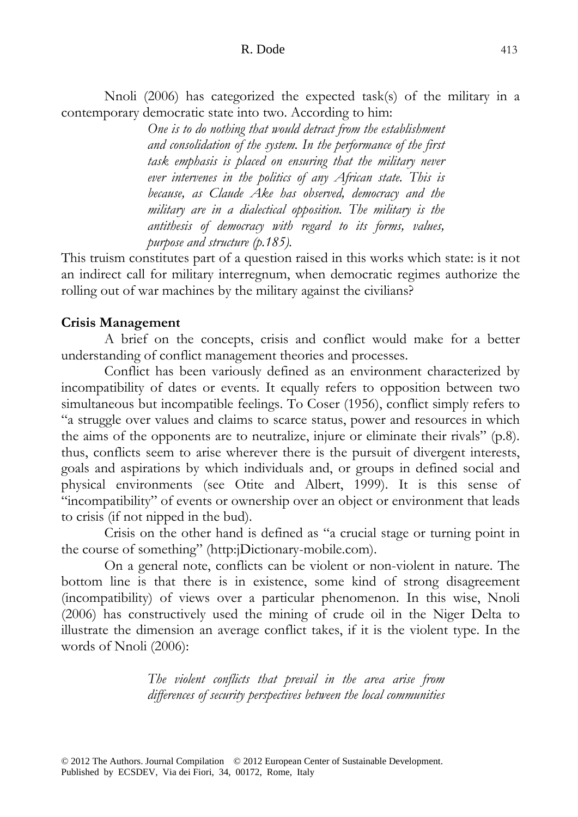#### R. Dode 413

 Nnoli (2006) has categorized the expected task(s) of the military in a contemporary democratic state into two. According to him:

> *One is to do nothing that would detract from the establishment and consolidation of the system. In the performance of the first task emphasis is placed on ensuring that the military never ever intervenes in the politics of any African state. This is because, as Claude Ake has observed, democracy and the military are in a dialectical opposition. The military is the antithesis of democracy with regard to its forms, values, purpose and structure (p.185).*

This truism constitutes part of a question raised in this works which state: is it not an indirect call for military interregnum, when democratic regimes authorize the rolling out of war machines by the military against the civilians?

### **Crisis Management**

 A brief on the concepts, crisis and conflict would make for a better understanding of conflict management theories and processes.

 Conflict has been variously defined as an environment characterized by incompatibility of dates or events. It equally refers to opposition between two simultaneous but incompatible feelings. To Coser (1956), conflict simply refers to "a struggle over values and claims to scarce status, power and resources in which the aims of the opponents are to neutralize, injure or eliminate their rivals" (p.8). thus, conflicts seem to arise wherever there is the pursuit of divergent interests, goals and aspirations by which individuals and, or groups in defined social and physical environments (see Otite and Albert, 1999). It is this sense of "incompatibility" of events or ownership over an object or environment that leads to crisis (if not nipped in the bud).

 Crisis on the other hand is defined as "a crucial stage or turning point in the course of something" (http:jDictionary-mobile.com).

 On a general note, conflicts can be violent or non-violent in nature. The bottom line is that there is in existence, some kind of strong disagreement (incompatibility) of views over a particular phenomenon. In this wise, Nnoli (2006) has constructively used the mining of crude oil in the Niger Delta to illustrate the dimension an average conflict takes, if it is the violent type. In the words of Nnoli (2006):

> *The violent conflicts that prevail in the area arise from differences of security perspectives between the local communities*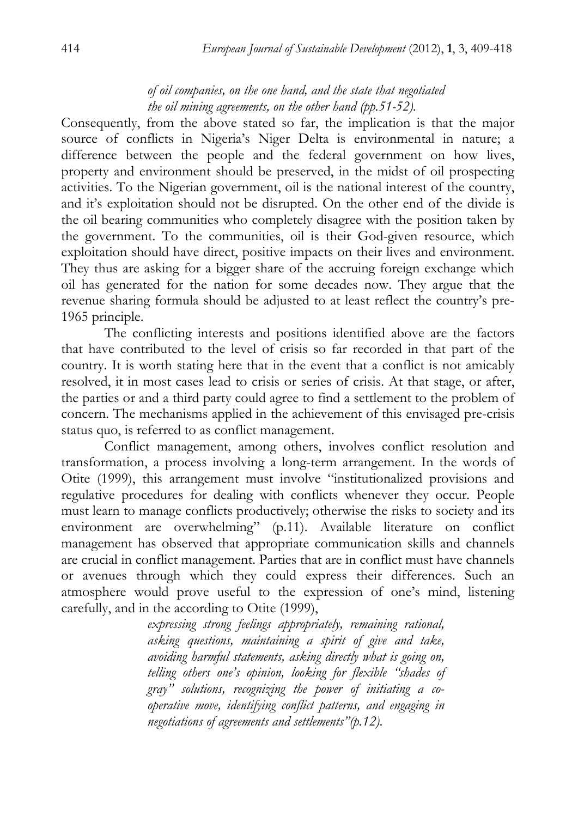# *of oil companies, on the one hand, and the state that negotiated the oil mining agreements, on the other hand (pp.51-52).*

Consequently, from the above stated so far, the implication is that the major source of conflicts in Nigeria's Niger Delta is environmental in nature; a difference between the people and the federal government on how lives, property and environment should be preserved, in the midst of oil prospecting activities. To the Nigerian government, oil is the national interest of the country, and it's exploitation should not be disrupted. On the other end of the divide is the oil bearing communities who completely disagree with the position taken by the government. To the communities, oil is their God-given resource, which exploitation should have direct, positive impacts on their lives and environment. They thus are asking for a bigger share of the accruing foreign exchange which oil has generated for the nation for some decades now. They argue that the revenue sharing formula should be adjusted to at least reflect the country's pre-1965 principle.

 The conflicting interests and positions identified above are the factors that have contributed to the level of crisis so far recorded in that part of the country. It is worth stating here that in the event that a conflict is not amicably resolved, it in most cases lead to crisis or series of crisis. At that stage, or after, the parties or and a third party could agree to find a settlement to the problem of concern. The mechanisms applied in the achievement of this envisaged pre-crisis status quo, is referred to as conflict management.

 Conflict management, among others, involves conflict resolution and transformation, a process involving a long-term arrangement. In the words of Otite (1999), this arrangement must involve "institutionalized provisions and regulative procedures for dealing with conflicts whenever they occur. People must learn to manage conflicts productively; otherwise the risks to society and its environment are overwhelming" (p.11). Available literature on conflict management has observed that appropriate communication skills and channels are crucial in conflict management. Parties that are in conflict must have channels or avenues through which they could express their differences. Such an atmosphere would prove useful to the expression of one's mind, listening carefully, and in the according to Otite (1999),

> *expressing strong feelings appropriately, remaining rational, asking questions, maintaining a spirit of give and take, avoiding harmful statements, asking directly what is going on, telling others one's opinion, looking for flexible "shades of gray" solutions, recognizing the power of initiating a cooperative move, identifying conflict patterns, and engaging in negotiations of agreements and settlements"(p.12).*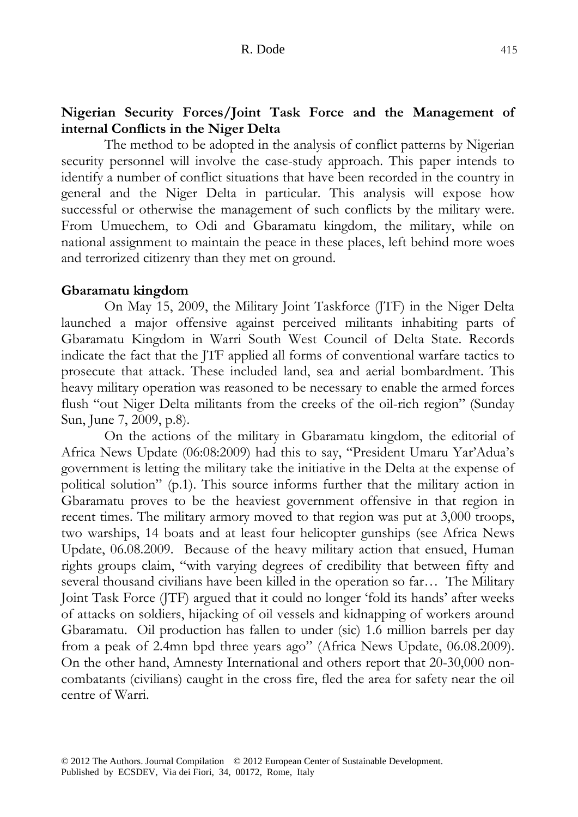# **Nigerian Security Forces/Joint Task Force and the Management of internal Conflicts in the Niger Delta**

 The method to be adopted in the analysis of conflict patterns by Nigerian security personnel will involve the case-study approach. This paper intends to identify a number of conflict situations that have been recorded in the country in general and the Niger Delta in particular. This analysis will expose how successful or otherwise the management of such conflicts by the military were. From Umuechem, to Odi and Gbaramatu kingdom, the military, while on national assignment to maintain the peace in these places, left behind more woes and terrorized citizenry than they met on ground.

### **Gbaramatu kingdom**

 On May 15, 2009, the Military Joint Taskforce (JTF) in the Niger Delta launched a major offensive against perceived militants inhabiting parts of Gbaramatu Kingdom in Warri South West Council of Delta State. Records indicate the fact that the JTF applied all forms of conventional warfare tactics to prosecute that attack. These included land, sea and aerial bombardment. This heavy military operation was reasoned to be necessary to enable the armed forces flush "out Niger Delta militants from the creeks of the oil-rich region" (Sunday Sun, June 7, 2009, p.8).

 On the actions of the military in Gbaramatu kingdom, the editorial of Africa News Update (06:08:2009) had this to say, "President Umaru Yar'Adua's government is letting the military take the initiative in the Delta at the expense of political solution" (p.1). This source informs further that the military action in Gbaramatu proves to be the heaviest government offensive in that region in recent times. The military armory moved to that region was put at 3,000 troops, two warships, 14 boats and at least four helicopter gunships (see Africa News Update, 06.08.2009. Because of the heavy military action that ensued, Human rights groups claim, "with varying degrees of credibility that between fifty and several thousand civilians have been killed in the operation so far… The Military Joint Task Force (JTF) argued that it could no longer 'fold its hands' after weeks of attacks on soldiers, hijacking of oil vessels and kidnapping of workers around Gbaramatu. Oil production has fallen to under (sic) 1.6 million barrels per day from a peak of 2.4mn bpd three years ago" (Africa News Update, 06.08.2009). On the other hand, Amnesty International and others report that 20-30,000 noncombatants (civilians) caught in the cross fire, fled the area for safety near the oil centre of Warri.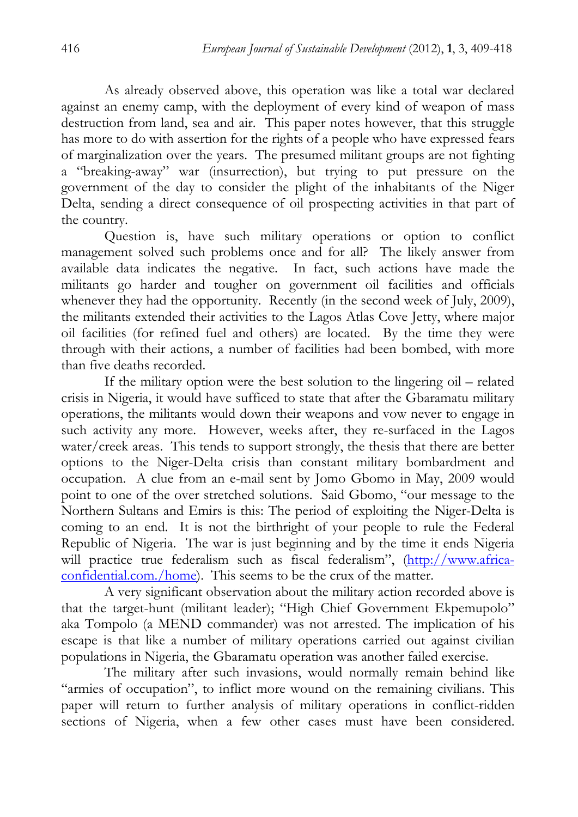As already observed above, this operation was like a total war declared against an enemy camp, with the deployment of every kind of weapon of mass destruction from land, sea and air. This paper notes however, that this struggle has more to do with assertion for the rights of a people who have expressed fears of marginalization over the years. The presumed militant groups are not fighting a "breaking-away" war (insurrection), but trying to put pressure on the government of the day to consider the plight of the inhabitants of the Niger Delta, sending a direct consequence of oil prospecting activities in that part of the country.

 Question is, have such military operations or option to conflict management solved such problems once and for all? The likely answer from available data indicates the negative. In fact, such actions have made the militants go harder and tougher on government oil facilities and officials whenever they had the opportunity. Recently (in the second week of July, 2009), the militants extended their activities to the Lagos Atlas Cove Jetty, where major oil facilities (for refined fuel and others) are located. By the time they were through with their actions, a number of facilities had been bombed, with more than five deaths recorded.

 If the military option were the best solution to the lingering oil – related crisis in Nigeria, it would have sufficed to state that after the Gbaramatu military operations, the militants would down their weapons and vow never to engage in such activity any more. However, weeks after, they re-surfaced in the Lagos water/creek areas. This tends to support strongly, the thesis that there are better options to the Niger-Delta crisis than constant military bombardment and occupation. A clue from an e-mail sent by Jomo Gbomo in May, 2009 would point to one of the over stretched solutions. Said Gbomo, "our message to the Northern Sultans and Emirs is this: The period of exploiting the Niger-Delta is coming to an end. It is not the birthright of your people to rule the Federal Republic of Nigeria. The war is just beginning and by the time it ends Nigeria will practice true federalism such as fiscal federalism", (http://www.africaconfidential.com./home). This seems to be the crux of the matter.

 A very significant observation about the military action recorded above is that the target-hunt (militant leader); "High Chief Government Ekpemupolo" aka Tompolo (a MEND commander) was not arrested. The implication of his escape is that like a number of military operations carried out against civilian populations in Nigeria, the Gbaramatu operation was another failed exercise.

 The military after such invasions, would normally remain behind like "armies of occupation", to inflict more wound on the remaining civilians. This paper will return to further analysis of military operations in conflict-ridden sections of Nigeria, when a few other cases must have been considered.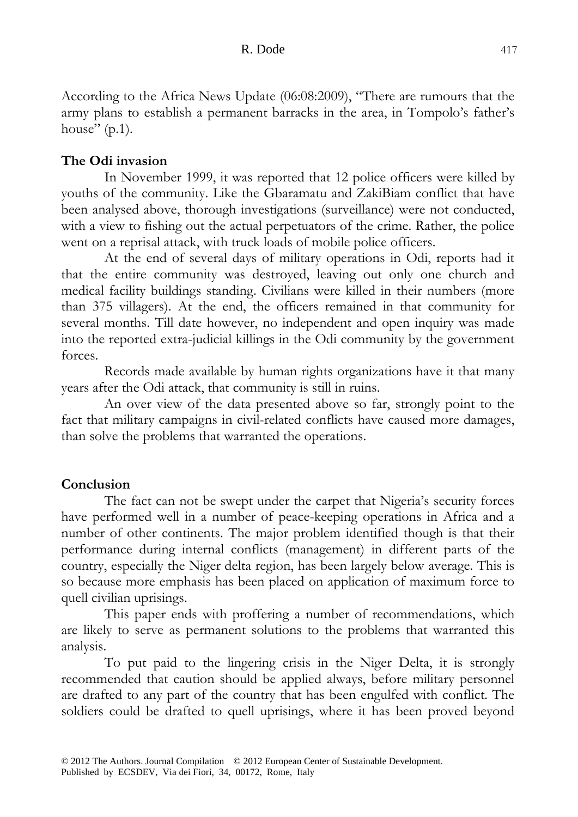According to the Africa News Update (06:08:2009), "There are rumours that the army plans to establish a permanent barracks in the area, in Tompolo's father's house" (p.1).

## **The Odi invasion**

 In November 1999, it was reported that 12 police officers were killed by youths of the community. Like the Gbaramatu and ZakiBiam conflict that have been analysed above, thorough investigations (surveillance) were not conducted, with a view to fishing out the actual perpetuators of the crime. Rather, the police went on a reprisal attack, with truck loads of mobile police officers.

 At the end of several days of military operations in Odi, reports had it that the entire community was destroyed, leaving out only one church and medical facility buildings standing. Civilians were killed in their numbers (more than 375 villagers). At the end, the officers remained in that community for several months. Till date however, no independent and open inquiry was made into the reported extra-judicial killings in the Odi community by the government forces.

 Records made available by human rights organizations have it that many years after the Odi attack, that community is still in ruins.

 An over view of the data presented above so far, strongly point to the fact that military campaigns in civil-related conflicts have caused more damages, than solve the problems that warranted the operations.

### **Conclusion**

 The fact can not be swept under the carpet that Nigeria's security forces have performed well in a number of peace-keeping operations in Africa and a number of other continents. The major problem identified though is that their performance during internal conflicts (management) in different parts of the country, especially the Niger delta region, has been largely below average. This is so because more emphasis has been placed on application of maximum force to quell civilian uprisings.

 This paper ends with proffering a number of recommendations, which are likely to serve as permanent solutions to the problems that warranted this analysis.

 To put paid to the lingering crisis in the Niger Delta, it is strongly recommended that caution should be applied always, before military personnel are drafted to any part of the country that has been engulfed with conflict. The soldiers could be drafted to quell uprisings, where it has been proved beyond